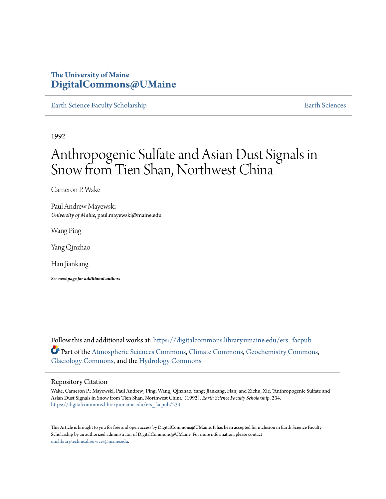### **The University of Maine [DigitalCommons@UMaine](https://digitalcommons.library.umaine.edu?utm_source=digitalcommons.library.umaine.edu%2Fers_facpub%2F234&utm_medium=PDF&utm_campaign=PDFCoverPages)**

[Earth Science Faculty Scholarship](https://digitalcommons.library.umaine.edu/ers_facpub?utm_source=digitalcommons.library.umaine.edu%2Fers_facpub%2F234&utm_medium=PDF&utm_campaign=PDFCoverPages) **[Earth Sciences](https://digitalcommons.library.umaine.edu/ers?utm_source=digitalcommons.library.umaine.edu%2Fers_facpub%2F234&utm_medium=PDF&utm_campaign=PDFCoverPages)** 

1992

# Anthropogenic Sulfate and Asian Dust Signals in Snow from Tien Shan, Northwest China

Cameron P. Wake

Paul Andrew Mayewski *University of Maine*, paul.mayewski@maine.edu

Wang Ping

Yang Qinzhao

Han Jiankang

*See next page for additional authors*

Follow this and additional works at: [https://digitalcommons.library.umaine.edu/ers\\_facpub](https://digitalcommons.library.umaine.edu/ers_facpub?utm_source=digitalcommons.library.umaine.edu%2Fers_facpub%2F234&utm_medium=PDF&utm_campaign=PDFCoverPages) Part of the [Atmospheric Sciences Commons,](http://network.bepress.com/hgg/discipline/187?utm_source=digitalcommons.library.umaine.edu%2Fers_facpub%2F234&utm_medium=PDF&utm_campaign=PDFCoverPages) [Climate Commons,](http://network.bepress.com/hgg/discipline/188?utm_source=digitalcommons.library.umaine.edu%2Fers_facpub%2F234&utm_medium=PDF&utm_campaign=PDFCoverPages) [Geochemistry Commons,](http://network.bepress.com/hgg/discipline/157?utm_source=digitalcommons.library.umaine.edu%2Fers_facpub%2F234&utm_medium=PDF&utm_campaign=PDFCoverPages) [Glaciology Commons](http://network.bepress.com/hgg/discipline/159?utm_source=digitalcommons.library.umaine.edu%2Fers_facpub%2F234&utm_medium=PDF&utm_campaign=PDFCoverPages), and the [Hydrology Commons](http://network.bepress.com/hgg/discipline/1054?utm_source=digitalcommons.library.umaine.edu%2Fers_facpub%2F234&utm_medium=PDF&utm_campaign=PDFCoverPages)

#### Repository Citation

Wake, Cameron P.; Mayewski, Paul Andrew; Ping, Wang; Qinzhao, Yang; Jiankang, Han; and Zichu, Xie, "Anthropogenic Sulfate and Asian Dust Signals in Snow from Tien Shan, Northwest China" (1992). *Earth Science Faculty Scholarship*. 234. [https://digitalcommons.library.umaine.edu/ers\\_facpub/234](https://digitalcommons.library.umaine.edu/ers_facpub/234?utm_source=digitalcommons.library.umaine.edu%2Fers_facpub%2F234&utm_medium=PDF&utm_campaign=PDFCoverPages)

This Article is brought to you for free and open access by DigitalCommons@UMaine. It has been accepted for inclusion in Earth Science Faculty Scholarship by an authorized administrator of DigitalCommons@UMaine. For more information, please contact [um.library.technical.services@maine.edu](mailto:um.library.technical.services@maine.edu).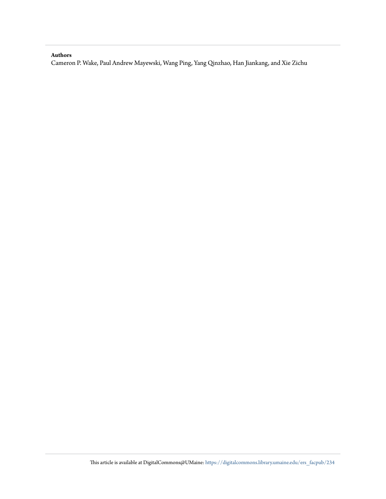#### **Authors**

Cameron P. Wake, Paul Andrew Mayewski, Wang Ping, Yang Qinzhao, Han Jiankang, and Xie Zichu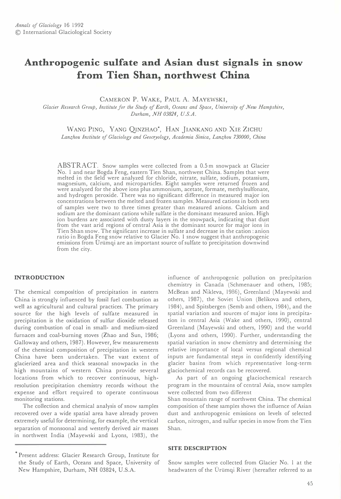## Anthropogenic sulfate and Asian dust signals in snow from Tien Shan, northwest China

CAMERON P. WAKE, PAUL A. MAYEWSKI,

Glacier Research Group, Institute for the Study of Earth, Oceans and Space, University of New Hampshire, Durham, NH 03824, U.S.A.

WANG PING, YANG QINZHAO<sup>\*</sup>, HAN JIANKANG AND XIE ZICHU Lanzhou Institute of Glaciology and Geocryology, Academia Sinica, Lanzhou 730000, China

ABSTRACT. Snow samples were collected from a 0.5 m snowpack at Glacier No. I and near Bogda Feng, eastern Tien Shan, northwest China. Samples that were melted in the field were analyzed for chloride, nitrate, sulfate, sodium, potassium, magnesium, calcium, and microparticles. Eight samples were returned frozen and were analyzed for the above ions plus ammonium, acetate, formate, methylsulfonate, and hydrogen peroxide. There was no significant difference in measured major ion concentrations between the melted and frozen samples. Measured cations in both sets of samples were two to three times greater than measured anions. Calcium and sodium are the dominant cations while sulfate is the dominant measured anion. High ion burdens are associated with dusty layers in the snowpack, indicating that dust from the vast arid regions of central Asia is the dominant source for major ions in Tien Shan snow. The significant increase in sulfate and decrease in the cation: anion ratio in Bogda �eng snow relative to Glacier No. I snow suggest that anthropogenic emissions from Urtimqi are an important source of sulfate to precipitation downwind from the city.

#### INTRODUCTION

The chemical composition of precipitation in eastern China is strongly influenced by fossil fuel combustion as well as agricultural and cultural practices. The primary source for the high levels of sulfate measured in precipitation is the oxidation of sulfur dioxide released during combustion of coal in small- and medium-sized furnaces and coal-burning stoves (Zhao and Sun, 1986; Galloway and others, 1987). However, few measurements of the chemical composition of precipitation in western China have been undertaken. The vast extent of glacierized area and thick seasonal snowpacks in the high mountains of western China provide several locations from which to recover continuous, highresolution precipitation chemistry records without the expense and effort required to operate continuous monitoring stations.

The collection and chemical analysis of snow samples recovered over a wide spatial area have already proven extremely useful for determining, for example, the vertical separation of monsoonal and westerly derived air masses in northwest India (Mayewski and Lyons, 1983), the

influence of anthropogenic pollution on precipitation chemistry in Canada (Schmenauer and others, 1985; McBean and Nikleva, 1986), Greenland (Mayewski and others, 1987), the Soviet Union (Belikova and others, 1984), and Spitsbergen (Semb and others, 1984), and the spatial variation and sources of major ions in precipitation in central Asia (Wake and others, 1990), central Greenland (Mayewski and others, 1990) and the world (Lyons and others, 1990). Further, understanding the spatial variation in snow chemistry and determining the relative importance of local versus regional chemical inputs are fundamental steps in confidently identifying glacier basins from which representative long-term glaciochemical records can be recovered.

As part of an ongoing glaciochemical research program in the mountains of central Asia, snow samples were collected from two different

Shan mountain range of northwest China. The chemical composition of these samples shows the influence of Asian dust and anthropogenic emissions on levels of selected carbon, nitrogen, and sulfur species in snow from the Tien Shan.

#### SITE DESCRIPTION

Snow samples were collected from Glacier No. I at the headwaters of the Ürümqi River (hereafter referred to as

<sup>•</sup> Present address: Glacier Research Group, Institute for the Study of Earth, Oceans and Space, University of New Hampshire, Durham, NH 03824, U.S.A.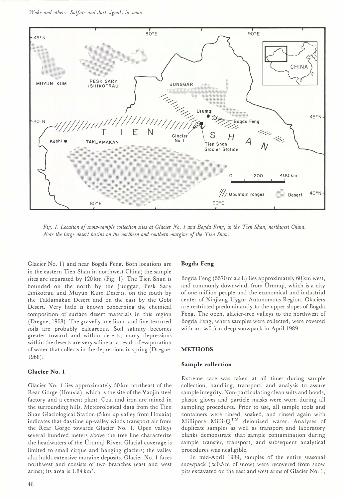Wake and others: Sulfate and dust signals in snow



Fig. 1. Location of snow-sample collection sites at Glacier No. 1 and Bogda Feng, in the Tien Shan, northwest China. Note the large desert basins on the northern and southern margins of the Tien Shan.

Glacier No. I) and near Bogda Feng. Both locations are in the eastern Tien Shan in northwest China; the sample sites are separated by 120 km (Fig. I). The Tien Shan is bounded on the north by the Junggar, Pesk Sary Ishikotrau and Muyun Kum Deserts, on the south by the Taklamakan Desert and on the east by the Gobi Desert. Very little is known concerning the chemical composition of surface desert materials in this region (Dregne, 1968). The gravelly, medium- and fine-textured soils are probably calcareous. Soil salinity becomes greater toward and within deserts; many depressions within the deserts are very saline as a result of evaporation of water that collects in the depressions in spring (Dregne, 1968) .

#### Glacier No. I

Glacier No. I lies approximately 50 km northeast of the Rear Gorge (Houxia), which is the site of the Yaojin steel factory and a cement plant. Coal and iron are mined in the surrounding hills. Meteorological data from the Tien Shan Glaciological Station (5 km up valley from Houxia) indicates that daytime up-valley winds transport air from the Rear Gorge towards Glacier No. I. Open valleys several hundred meters above the tree line characterize the headwaters of the Urümqi River. Glacial coverage is limited to small cirque and hanging glaciers; the valley also holds extensive moraine deposits. Glacier No. I faces northwest and consists of two branches (east and west arms); its area is  $1.84 \text{ km}^2$ .

#### Bogda Feng

Bogda Feng (5570 m a.s.l.) lies approximately 60 km west, and commonly downwind, from Ürümqi, which is a city of one million people and the economical and industrial center of Xinjiang Uygur Autonomous Region. Glaciers are restricted predominantly to the upper slopes of Bogda Feng. The open, glacier-free valleys to the northwest of Bogda Feng, where samples were collected, were covered with an  $\approx 0.5$  m deep snowpack in April 1989.

#### METHODS

#### Sample collection

Extreme care was taken at all times during sample collection, handling, transport, and analysis to assure sample integrity. Non-particulating clean suits and hoods, plastic gloves and particle masks were worn during all sampling procedures. Prior to use, all sample tools and containers were rinsed, soaked, and rinsed again with Millipore Milli- $Q^{TM}$  deionized water. Analyses of duplicate samples as well as transport and laboratory blanks demonstrate that sample contamination during sample transfer, transport, and subsequent analytical procedures was negligible.

In mid-April 1989, samples of the entire seasonal snowpack ( $\approx 0.5$  m of snow) were recovered from snow pits excavated on the east and west arms of Glacier No. I,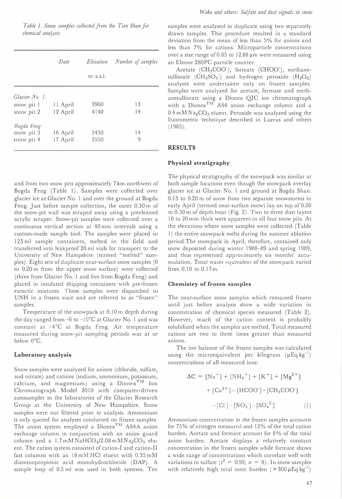Table 1. Snow samples collected from the Tien Shan for chemical analysis

|                | Date     | Elevation  | Number of samples |
|----------------|----------|------------|-------------------|
|                |          | $m$ a.s.l. |                   |
| Glacier No. 1. |          |            |                   |
| snow pit 1     | 11 April | 3960       | 13                |
| snow pit 2     | 12 April | 4140       | 14                |
| Bogda Feng     |          |            |                   |
| snow pit 3     | 16 April | 3450       | 14                |
| snow pit 4     | 17 April | 3550       | 9                 |
|                |          |            |                   |

and from two snow pits approximately 7 km northwest of Bogda Feng (Table I). Samples were collected over glacier ice at Glacier No. I and over the ground at Bogda Feng. Just before sample collection, the outer 0.30 m of the snow-pit wall was scraped away using a precleaned acrylic scraper. Snow-pit samples were collected over a continuous vertical section at 40 mm intervals using a custom-made sample tool. The samples were placed in 125 ml sample containers, melted in the field and transferred into leakproof 20 ml vials for transport to the University of New Hampshire (termed "melted" samples). Eight sets of duplicate near-surface snow samples (0 to 0.20 m from the upper snow surface) were collected (three from Glacier No. I and five from Bogda Feng) and placed in insulated shipping containers with pre-frozen eutectic mixtures. These samples were dispatched to UNH in a frozen state and are referred to as "frozen" samples.

Temperature of the snowpack at 0.10 m depth during the day ranged from  $-6$  to  $-10^{\circ}$ C at Glacier No. 1 and was constant at -4°C at Bogda Feng. Air temperature measured during snow-pit sampling periods was at or below O°C.

#### Laboratory analysis

Snow samples were analyzed for anions (chloride, sulfate, and nitrate) and cations (sodium, ammonium, potassium, calcium, and magnesium) using a Dionex<sup>TM</sup> Ion Chromatograph Model 2010 with computer-driven autosampler in the laboratories of the Glacier Research Group at the University of New Hampshire. Snow samples were not filtered prior to analysis. Ammonium is only quoted for analyses conducted on frozen samples. The anion system employed a Dionex<sup>TM</sup> AS4A anion exchange column in conjunction with an anion guard column and a  $1.7 \text{ mM }N\text{aHCO}_3/2.08 \text{ mM }N\text{a}_2\text{CO}_3$  eluent. The cation system consisted of cation-I and cation-II fast columns with an 18 mM HCI eluent with 0.35 mM diaminopropionic acid monohydrochloride (DAP). A sample loop of 0.5 ml was used in both systems. Ten

samples were analyzed in duplicate using two separately drawn samples. This procedure resulted in a standard deviation from the mean of less than 5% for anions and less than 7% for cations. Microparticle concentrations over a size range of 0.65 to  $12.88 \,\mu m$  were measured using an Elzone 280PC particle counter.

Acetate (CH<sub>3</sub>COO<sup>-</sup>), formate (CHOO<sup>-</sup>), methanesulfonate  $(CH_3SO_3)$  and hydrogen peroxide  $(H_2O_2)$ analyses were undertaken only on frozen samples. Samples were analyzed for acetate, formate and methanesulfonate using a Dionex QIC ion chromatograph with a Dionex<sup>TM</sup> AS4 anion exchange column and a  $0.4$  mM Na<sub>2</sub>CO<sub>3</sub> eluent. Peroxide was analyzed using the fluorometric technique described in Lazrus and others  $(1985)$ .

#### RESULTS

#### Physical stratigraphy

The physical stratigraphy of the snowpack was similar at both sample locations even though the snowpack overlay glacier ice at Glacier No. I and ground at Bogda Shan. 0.15 to 0.20 m of snow from two separate snowstorms in early April (termed near-surface snow) lay on top of 0.30 to 0.50 m of depth hoar (Fig. 2). Two to three dust layers 10 to 20 mm thick were apparent in all four snow pits. At the elevations where snow samples were collected (Table I) the entire snowpack melts during the summer ablation period. The snowpack in April, therefore, contained only snow deposited during winter 1988-89 and spring 1989, and thus represented approximately six months' accumulation. Total water equivalent of the snowpack varied from 0.10 to 0.17m.

#### Chemistry of frozen samples

The near-surface snow samples which remained frozen until just before analysis show a wide variation in concentration of chemical species measured (Table 2). However, much of the cation content is probably solubilized when the samples are melted. Total measured cations are two to three times greater than measured anions.

The ion balance of the frozen samples was calculated using the microequivalent per kilogram  $(\mu Eq kg^{-1})$ concentrations of all measured ions:

$$
\Delta C = [Na^{+}] + [NH_{4}^{+}] + [K^{+}] + [Mg^{2+}]
$$

$$
+ [Ca^{2+}] - [HCOO^{-}] - [CH_{3}COO^{-}]
$$

$$
-[Cl^{-}] - [NO_{3}^{-}] - [SO_{4}^{2-}] \tag{1}
$$

Ammonium concentration in the frozen samples accounts for 75% of nitrogen measured and 12% of the total cation burden. Acetate and formate account for 8% of the total anion burden. Acetate displays a relatively constant concentration in the frozen samples while formate shows a wide range of concentrations which correlate well with variations in sulfate ( $r^2 = 0.93$ ; n = 8). In snow samples with relatively high total ionic burden ( $> 300 \mu$ Eq kg<sup>-1</sup>)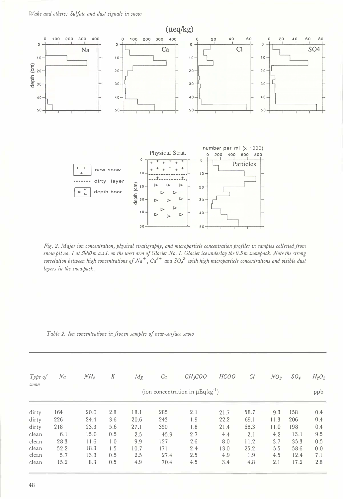

Fig. 2. Major ion concentration, physical stratigraphy, and microparticle concentration profiles in samples collected from snow pit no. 1 at 3960 m a.s.l. on the west arm of Glacier No. 1. Glacier ice underlay the 0.5 m snowpack. Note the strong correlation between high concentrations of Na<sup>+</sup>, Ca<sup>2+</sup> and SO<sub>4</sub><sup>2</sup> with high microparticle concentrations and visible dust layers in the snowpack.

| Table 2. Ion concentrations in frozen samples of near-surface snou |  |  |  |
|--------------------------------------------------------------------|--|--|--|
|--------------------------------------------------------------------|--|--|--|

| Type of | Na   | NH <sub>4</sub> | К   | Mg   | Ca   | CH <sub>3</sub> COO                               | HCOO | Cl   | NO <sub>3</sub> | SO <sub>4</sub> | $H_2O_2$ |
|---------|------|-----------------|-----|------|------|---------------------------------------------------|------|------|-----------------|-----------------|----------|
| snow    |      |                 |     |      |      | (ion concentration in $\mu$ Eq kg <sup>-1</sup> ) |      |      |                 |                 | ppb      |
| dirty   | 164  | 20.0            | 2.8 | 18.1 | 285  | 2.1                                               | 21.7 | 58.7 | 9.3             | 158             | 0.4      |
| dirty   | 226  | 24.4            | 3.6 | 20.6 | 243  | 1.9                                               | 22.2 | 69.1 | 11.3            | 206             | 0.4      |
| dirty   | 218  | 23.3            | 5.6 | 27.1 | 350  | 1.8                                               | 21.4 | 68.3 | 11.0            | 198             | 0.4      |
| clean   | 6.1  | 15.0            | 0.5 | 2.5  | 45.9 | 2.7                                               | 4.4  | 2.1  | 4.2             | 13.1            | 9.5      |
| clean   | 28.3 | 11.6            | 1.0 | 9.9  | 127  | 2.6                                               | 8.0  | 11.2 | 3.7             | 35.3            | 0.5      |
| clean   | 52.2 | 18.3            | 1.5 | 10.7 | 171  | 2.4                                               | 13.0 | 25.2 | 5.5             | 58.6            | 0.0      |
| clean   | 5.7  | 13.3            | 0.5 | 2.5  | 27.4 | 2.5                                               | 4.9  | 1.9  | 4.5             | 12.4            | 7.1      |
| clean   | 15.2 | 8.3             | 0.5 | 4.9  | 70.4 | 4.5                                               | 3.4  | 4.8  | 2.1             | 17.2            | 2.8      |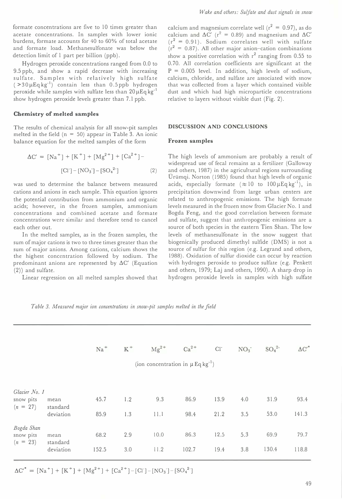formate concentrations are five to 10 times greater than acetate concentrations. In samples with lower ionic burdens, formate accounts for 40 to 60% of total acetate and formate load. Methanesulfonate was below the detection limit of 1 part per billion (ppb).

Hydrogen peroxide concentrations ranged from 0.0 to 9.5 ppb, and show a rapid decrease with increasing sulfate. Samples with relatively high sulfate  $($  > 30  $\mu$ Eq kg<sup>-1</sup>) contain less than 0.5 ppb hydrogen peroxide while samples with sulfate less than  $20 \mu \text{Eq} \text{kg}^{-1}$ show hydrogen peroxide levels greater than 7.1 ppb.

#### Chemistry of melted samples

The results of chemical analysis for all snow-pit samples melted in the field  $(n = 50)$  appear in Table 3. An ionic balance equation for the melted samples of the form

$$
\Delta C' = [Na^{+}] + [K^{+}] + [Mg^{2+}] + [Ca^{2+}] -
$$
  
[Cl<sup>-</sup>] - [NO<sub>3</sub><sup>-</sup>] - [SO<sub>4</sub><sup>2-</sup>] (2)

was used to determine the balance between measured cations and anions in each sample. This equation ignores the potential contribution from ammonium and organic acids; however, in the frozen samples, ammonium concentrations and combined acetate and formate concentrations were similar and therefore tend to cancel each other out.

In the melted samples, as in the frozen samples, the sum of major cations is two to three times greater than the sum of major anions. Among cations, calcium shows the the highest concentration followed by sodium. The predominant anions are represented by  $\Delta C'$  (Equation (2)) and sulfate.

Linear regression on all melted samples showed that

calcium and magnesium correlate well ( $r^2 = 0.97$ ), as do calcium and  $\Delta C'$  (r<sup>2</sup> = 0.89) and magnesium and  $\Delta C'$  $(r^2 = 0.91)$ . Sodium correlates well with sulfate  $(r^2 = 0.87)$ . All other major anion-cation combinations show a positive correlation with  $r^2$  ranging from 0.55 to 0.70. All correlation coefficients are significant at the  $P = 0.005$  level. In addition, high levels of sodium, calcium, chloride, and sulfate are associated with snow that was collected from a layer which contained visible dust and which had high microparticle concentrations relative to layers without visible dust (Fig. 2).

#### DISCUSSION AND CONCLUSIONS

#### Frozen samples

The high levels of ammonium are probably a result of widespread use of fecal remains as a fertilizer (Galloway and others, 1987) in the agricultural regions surrounding Ürümqi. Norton (1985) found that high levels of organic acids, especially formate ( $\approx 10$  to  $100 \mu \text{Eq kg}^{-1}$ ), in precipitation downwind from large urban centers are related to anthropogenic emissions. The high formate levels measured in the frozen snow from Glacier No. I and Bogda Feng, and the good correlation between formate and sulfate, suggest that anthropogenic emissions are a source of both species in the eastern Tien Shan. The low levels of methanesulfonate in the snow suggest that biogenically produced dimethyl sulfide (DMS) is not a source of sulfur for this region (e.g. Legrand and others, 1988). Oxidation of sulfur dioxide can occur by reaction with hydrogen peroxide to produce sulfate (e.g. Penkett and others, 1979; Laj and others, 1990). A sharp drop in hydrogen peroxide levels in samples with high sulfate

Table 3. Measured major ion concentrations in snow-pit samples melted in the field

|                                       |                  | $Na+$ | $\rm K$ $^+$ | $Mg^{2+}$                                         | $Ca2+$ | $Cl^-$ | NO <sub>3</sub> | SO <sub>4</sub> <sup>2</sup> | $\Delta{C'}^*$ |
|---------------------------------------|------------------|-------|--------------|---------------------------------------------------|--------|--------|-----------------|------------------------------|----------------|
|                                       |                  |       |              | (ion concentration in $\mu$ Eq kg <sup>-1</sup> ) |        |        |                 |                              |                |
| Glacier No. 1                         |                  |       |              |                                                   |        |        |                 |                              |                |
| snow pits<br>$(n = 27)$               | mean<br>standard | 45.7  | 1.2          | 9.3                                               | 86.9   | 13.9   | 4.0             | 31.9                         | 93.4           |
|                                       | deviation        | 85.9  | 1.3          | 11.1                                              | 98.4   | 21.2   | 3.5             | 53.0                         | 141.3          |
| Bogda Shan<br>snow pits<br>$(n = 23)$ | mean<br>standard | 68.2  | 2.9          | 10.0                                              | 86.3   | 12.5   | 5.3             | 69.9                         | 79.7           |
|                                       | deviation        | 152.5 | 3.0          | 11.2                                              | 102.7  | 19.4   | 3.8             | 130.4                        | 118.8          |

 $\Delta C'$ <sup>\*</sup> = [Na<sup>+</sup>] + [K<sup>+</sup>] + [Mg<sup>2+</sup>] + [Ca<sup>2+</sup>] - [Cl<sup>-</sup>] - [NO<sub>3</sub><sup>-</sup>] - [SO<sub>4</sub><sup>2-</sup>]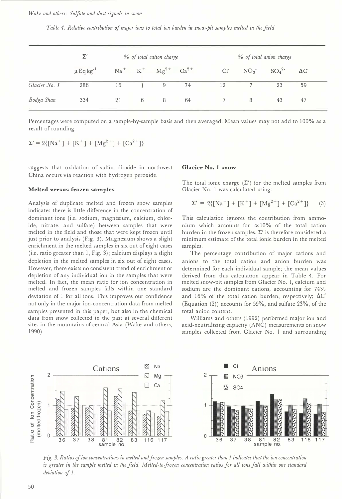Wake and others: Sulfate and dust signals in snow

Table 4. Relative contribution of major ions to total ion burden in snow-pit samples melted in the field

|               | $\Sigma'$                 | % of total cation charge |   |                                  |    |  | % of total anion charge |   |                             |             |  |
|---------------|---------------------------|--------------------------|---|----------------------------------|----|--|-------------------------|---|-----------------------------|-------------|--|
|               | $\mu$ Eq kg <sup>-1</sup> |                          |   | $Na^+$ $K^+$ $Mg^{2+}$ $Ca^{2+}$ |    |  | $Cl^-$                  |   | $NO_3$ $SO_4$ <sup>2-</sup> | $\Delta C'$ |  |
| Glacier No. 1 | 286                       | 16                       |   | 9                                | 74 |  | 12                      |   | 23                          | 59          |  |
| Bodga Shan    | 334                       | 21                       | 6 | 8                                | 64 |  |                         | 8 | 43                          | 47          |  |

Percentages were computed on a sample-by-sample basis and then averaged. Mean values may not add to 100% as a result of rounding.

 $\Sigma' = 2\{[Na^+] + [K^+] + [Mg^{2+}] + [Ca^{2+}]\}$ 

suggests that oxidation of sulfur dioxide in northwest China occurs via reaction with hydrogen peroxide.

#### Melted versus frozen samples

Analysis of duplicate melted and frozen snow samples indicates there is little difference in the concentration of dominant ions (i.e. sodium, magnesium, calcium, chloride, nitrate, and sulfate) between samples that were melted in the field and those that were kept frozen until just prior to analysis (Fig. 3). Magnesium shows a slight enrichment in the melted samples in six out of eight cases (i.e. ratio greater than I, Fig. 3); calcium displays a slight depletion in the melted samples in six out of eight cases. However, there exists no consistent trend of enrichment or depletion of any individual ion in the samples that were melted. In fact, the mean ratio for ion concentration in melted and frozen samples falls within one standard deviation of I for all ions. This improves our confidence not only in the major ion-concentration data from melted samples presented in this paper, but also in the chemical data from snow collected in the past at several different sites in the mountains of central Asia (Wake and others, 1990).

#### Glacier No. I snow

The total ionic charge  $(\Sigma')$  for the melted samples from Glacier No. I was calculated using:

$$
\Sigma' = 2\{[Na^+] + [K^+] + [Mg^{2+}] + [Ca^{2+}]\} \qquad (3)
$$

This calculation ignores the contribution from ammonium which accounts for  $\approx 10\%$  of the total cation burden in the frozen samples.  $\Sigma'$  is therefore considered a minimum estimate of the total ionic burden in the melted samples.

The percentage contribution of major cations and anions to the total cation and anion burden was determined for each individual sample; the mean values derived from this calculation appear in Table 4. For melted snow-pit samples from Glacier No. I, calcium and sodium are the dominant cations, accounting for 74% and 16% of the total cation burden, respectively;  $\Delta C'$ (Equation (2)) accounts for 59%, and sulfate 23%, of the total anion content.

Williams and others (1992) performed major ion and acid-neutralizing capacity (ANC) measurements on snow samples collected from Glacier No. I and surrounding



Fig. 3. Ratios of ion concentrations in melted and frozen samples. A ratio greater than 1 indicates that the ion concentration is greater in the sample melted in the field. Melted-to-frozen concentration ratios for all ions fall within one standard deviation of 1.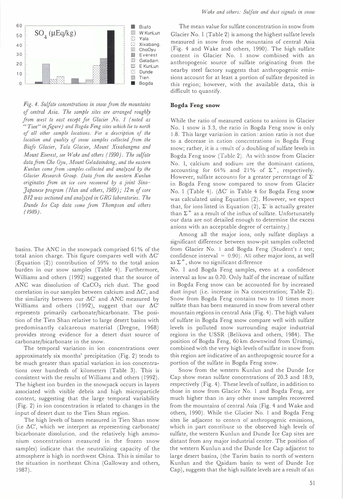

Fig. 4. Sulfate concentrations in snow from the mountains oj central Asia. The sample sites are arranged roughly from west to east except for Glacier No. 1 (noted as "Tien" in figure) and Bogda Feng sites which lie to north of all other sample locations. For a description of the location and quality of snow samples collected from the Biafo Glacier, Yala Glacier, Mount Xixabangma and Mount Everest, see Wake and others (1990). The sulfate data from Cho Oyu, Mount Geladaindong, and the eastern Kunlun come jrom samples collected and analyzed by the Glacier Research Group. Data from the western Kunlun originates from an ice core recovered by a joint Sino-Japanese program (Han and others, 1989); 12 m of core  $B12$  was sectioned and analyzed in GRG laboratories. The Dunde Ice Cap data come from Thompson and others (1989).

basins. The ANC in the snowpack comprised 61 % of the total anion charge. This figure compares well with  $\Delta C'$ (Equation (2)) contribution of 59% to the total anion burden in our snow samples (Table 4). Furthermore, Williams and others (1992) suggested that the source of ANC was dissolution of CaCO<sub>3</sub> rich dust. The good correlation in our samples between calcium and  $\Delta C'$ , and the similarity between our  $\Delta C'$  and ANC measured by Williams and others (1992), suggest that our  $\Delta C'$ represents primarily carbonate/bicarbonate. The position of the Tien Shan relative to large desert basins with predominantly calcareous material (Dregne, 1968) provides strong evidence for a desert dust source of carbonate/bicarbonate in the snow.

The temporal variation in ion concentrations over approximately six months' precipitation (Fig. 2) tends to be much greater than spatial variation in ion concentrations over hundreds of kilometers (Table 3). This is consistent with the results of Williams and others (1992). The highest ion burden in the snowpack occurs in layers associated with visible debris and high microparticle content, suggesting that the large temporal variability (Fig. 2) in ion concentration is related to changes in the input of desert dust to the Tien Shan region.

The high levels of bases measured in Tien Shan snow (i.e  $\Delta C'$ , which we interpret as representing carbonate) bicarbonate dissolution, and the relatively high ammonium concentrations measured in the frozen snow samples) indicate that the neutralizing capacity of the atmosphere is high in northwest China. This is similar to the situation in northeast China (Galloway and others, 1987).

The mean value for sulfate concentration in snow from Glacier No. I (Table 2) is among the highest sulfate levels measured in snow from the mountains of central Asia (Fig. 4 and Wake and others, 1990). The high sulfate content in Glacier No. I snow combined with an anthropogenic source of sulfate originating from the nearby steel factory suggests that anthropogenic emissions account for at least a portion of sulfate deposited in this region; however, with the available data, this is difficult to quantify.

#### Bogda Feng snow

While the ratio of measured cations to anions in Glacier No. I snow is 3.3, the ratio in Bogda Feng snow is only 1.8. This large variation in cation: anion ratio is not due to a decrease in cation concentrations in Bogda Feng snow; rather, it is a result of a dou bling of sulfate levels in Bogda Feng snow (Table 2). As with snow from Glacier No. I, calcium and sodium are the dominant cations, accounting for 64% and 21% of  $\Sigma^+$ , respectively. However, sulfate accounts for a greater percentage of  $\Sigma$ in Bogda Feng snow compared to snow from Glacier No. 1 (Table 4). ( $\Delta C'$  in Table 4 for Bogda Feng snow was calculated using Equation (2). However, we expect that, for ions listed in Equation (2),  $\Sigma$  is actually greater than  $\Sigma^+$  as a result of the influx of sulfate. Unfortunately our data are not detailed enough to determine the excess anions with an acceptable degree of certainty.)

Among all the major ions, only sulfate displays a significant difference between snow-pit samples collected from Glacier No. 1 and Bogda Feng (Student's  $t$  test; confidence interval =  $0.90$ ). All other major ions, as well as  $\Sigma^+$ , show no significant difference

No. I and Bogda Feng samples, even at a confidence interval as low as 0.70. Only half of the increase of sulfate in Bogda Feng snow can be accounted for by increased dust input (i.e. increase in Na concentration; Table 2). Snow from Bogda Feng contains two to 10 times more sulfate than has been measured in snow from several other mountain regions in central Asia (Fig. 4). The high values of sulfate in Bogda Feng SnOw compare well with sulfate levels in polluted snow surrounding major industrial regions in the USSR (Belikova and others, 1984). The position of Bogda Feng, 60 km downwind from Ürümqi, combined with the very high levels of sulfate in snow from this region are indicative of an anthropogenic source for a portion of the sulfate in Bogda Feng snow.

Snow from the western Kunlun and the Dunde Ice Cap show mean sulfate concentrations of 20.3 and 18.9, respectively (Fig. 4). These levels of sulfate, in addition to those in snow from Glacier No. I and Bogda Feng, are much higher than in any other snow samples recovered from the mountains of central Asia (Fig. 4 and Wake and others, 1990). While the Glacier No. 1 and Bogda Feng sites lie adjacent to centers of anthropogenic emissions, which in part contribute to the observed high levels of sulfate, the western Kunlun and Dunde Ice Cap sites are distant from any major industrial center. The position of the western Kunlun and the Dunde Ice Cap adjacent to large desert basins, (the Tarim basin to north of western Kunlun and the Qaidam basin to west of Dunde Ice Cap), suggests that the high sulfate levels are a result of an